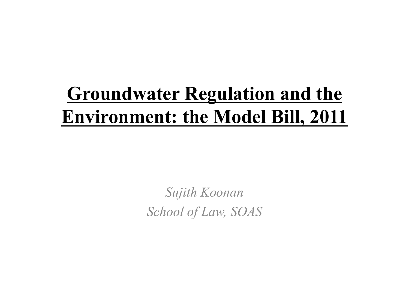### **Groundwater Regulation and the Environment: the Model Bill, 2011**

*Sujith Koonan School of Law, SOAS*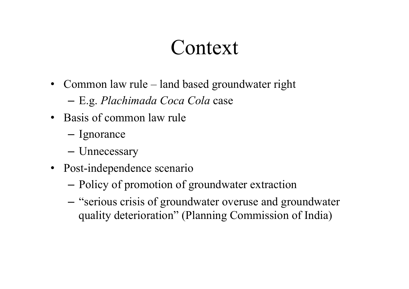#### Context

• Common law rule – land based groundwater right

– E.g. *Plachimada Coca Cola* case

- Basis of common law rule
	- Ignorance
	- Unnecessary
- Post-independence scenario
	- Policy of promotion of groundwater extraction
	- "serious crisis of groundwater overuse and groundwater quality deterioration" (Planning Commission of India)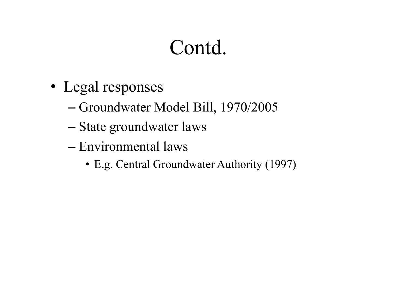## Contd.

- Legal responses
	- Groundwater Model Bill, 1970/2005
	- State groundwater laws
	- Environmental laws
		- E.g. Central Groundwater Authority (1997)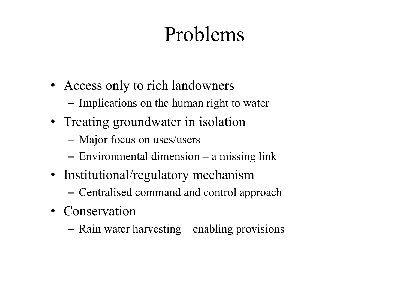# Problems

- Access only to rich landowners
	- Implications on the human right to water
- Treating groundwater in isolation
	- Major focus on uses/users
	- Environmental dimension a missing link
- Institutional/regulatory mechanism
	- Centralised command and control approach
- Conservation
	- Rain water harvesting enabling provisions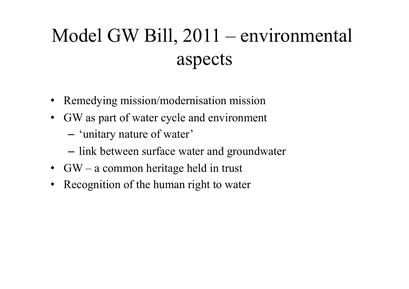## Model GW Bill, 2011 – environmental aspects

- Remedying mission/modernisation mission
- GW as part of water cycle and environment
	- 'unitary nature of water'
	- link between surface water and groundwater
- GW a common heritage held in trust
- Recognition of the human right to water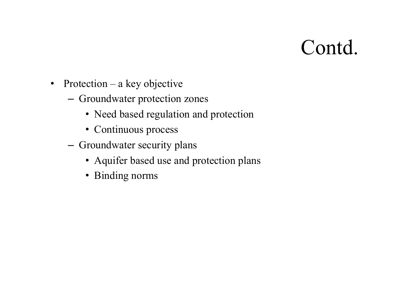#### Contd.

- Protection a key objective
	- Groundwater protection zones
		- Need based regulation and protection
		- Continuous process
	- Groundwater security plans
		- Aquifer based use and protection plans
		- Binding norms